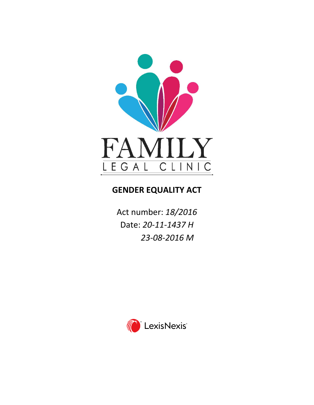

# **GENDER EQUALITY ACT**

Act number: *18/2016* Date: *20-11-1437 H 23-08-2016 M*

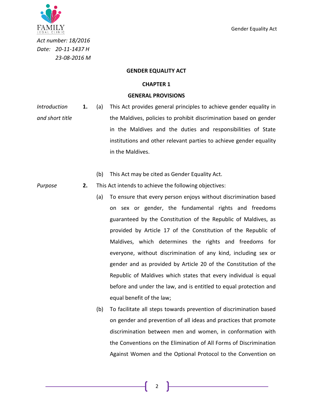

*Act number: 18/2016 Date: 20-11-1437 H 23-08-2016 M*

## **GENDER EQUALITY ACT**

#### **CHAPTER 1**

#### **GENERAL PROVISIONS**

*Introduction and short title* **1.** (a) This Act provides general principles to achieve gender equality in the Maldives, policies to prohibit discrimination based on gender in the Maldives and the duties and responsibilities of State institutions and other relevant parties to achieve gender equality in the Maldives.

(b) This Act may be cited as Gender Equality Act.

- *Purpose* **2.** This Act intends to achieve the following objectives:
	- (a) To ensure that every person enjoys without discrimination based on sex or gender, the fundamental rights and freedoms guaranteed by the Constitution of the Republic of Maldives, as provided by Article 17 of the Constitution of the Republic of Maldives, which determines the rights and freedoms for everyone, without discrimination of any kind, including sex or gender and as provided by Article 20 of the Constitution of the Republic of Maldives which states that every individual is equal before and under the law, and is entitled to equal protection and equal benefit of the law;
		- (b) To facilitate all steps towards prevention of discrimination based on gender and prevention of all ideas and practices that promote discrimination between men and women, in conformation with the Conventions on the Elimination of All Forms of Discrimination Against Women and the Optional Protocol to the Convention on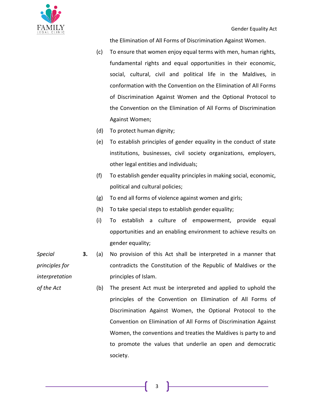

the Elimination of All Forms of Discrimination Against Women.

- (c) To ensure that women enjoy equal terms with men, human rights, fundamental rights and equal opportunities in their economic, social, cultural, civil and political life in the Maldives, in conformation with the Convention on the Elimination of All Forms of Discrimination Against Women and the Optional Protocol to the Convention on the Elimination of All Forms of Discrimination Against Women;
- (d) To protect human dignity;
- (e) To establish principles of gender equality in the conduct of state institutions, businesses, civil society organizations, employers, other legal entities and individuals;
- (f) To establish gender equality principles in making social, economic, political and cultural policies;
- (g) To end all forms of violence against women and girls;
- (h) To take special steps to establish gender equality;
- (i) To establish a culture of empowerment, provide equal opportunities and an enabling environment to achieve results on gender equality;
- **3.** (a) No provision of this Act shall be interpreted in a manner that contradicts the Constitution of the Republic of Maldives or the principles of Islam.
	- (b) The present Act must be interpreted and applied to uphold the principles of the Convention on Elimination of All Forms of Discrimination Against Women, the Optional Protocol to the Convention on Elimination of All Forms of Discrimination Against Women, the conventions and treaties the Maldives is party to and to promote the values that underlie an open and democratic society.

*Special principles for interpretation* 

*of the Act*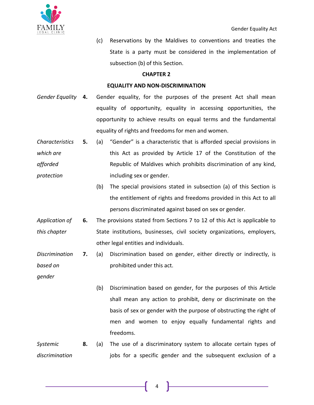

(c) Reservations by the Maldives to conventions and treaties the State is a party must be considered in the implementation of subsection (b) of this Section.

### **CHAPTER 2**

## **EQUALITY AND NON-DISCRIMINATION**

- *Gender Equality* **4.** Gender equality, for the purposes of the present Act shall mean equality of opportunity, equality in accessing opportunities, the opportunity to achieve results on equal terms and the fundamental equality of rights and freedoms for men and women.
- *Characteristics which are afforded protection* **5.** (a) "Gender" is a characteristic that is afforded special provisions in this Act as provided by Article 17 of the Constitution of the Republic of Maldives which prohibits discrimination of any kind, including sex or gender.
	- (b) The special provisions stated in subsection (a) of this Section is the entitlement of rights and freedoms provided in this Act to all persons discriminated against based on sex or gender.
- *Application of this chapter* **6.** The provisions stated from Sections 7 to 12 of this Act is applicable to State institutions, businesses, civil society organizations, employers, other legal entities and individuals.
- *Discrimination based on*  **7.** (a) Discrimination based on gender, either directly or indirectly, is prohibited under this act.

*gender*

- (b) Discrimination based on gender, for the purposes of this Article shall mean any action to prohibit, deny or discriminate on the basis of sex or gender with the purpose of obstructing the right of men and women to enjoy equally fundamental rights and freedoms.
- *Systemic discrimination*  **8.** (a) The use of a discriminatory system to allocate certain types of jobs for a specific gender and the subsequent exclusion of a

4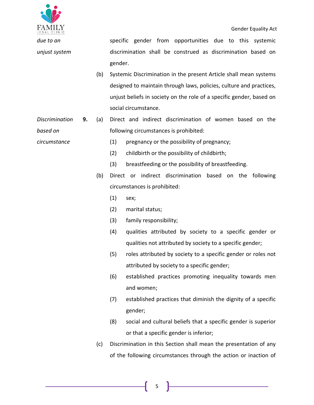



*due to an unjust system* specific gender from opportunities due to this systemic discrimination shall be construed as discrimination based on gender.

- (b) Systemic Discrimination in the present Article shall mean systems designed to maintain through laws, policies, culture and practices, unjust beliefs in society on the role of a specific gender, based on social circumstance.
- *Discrimination based on*  **9.** (a) Direct and indirect discrimination of women based on the following circumstances is prohibited:

*circumstance*

- (1) pregnancy or the possibility of pregnancy; (2) childbirth or the possibility of childbirth;
	- (3) breastfeeding or the possibility of breastfeeding.
- (b) Direct or indirect discrimination based on the following circumstances is prohibited:
	- (1) sex;
	- (2) marital status;
	- (3) family responsibility;
	- (4) qualities attributed by society to a specific gender or qualities not attributed by society to a specific gender;
	- (5) roles attributed by society to a specific gender or roles not attributed by society to a specific gender;
	- (6) established practices promoting inequality towards men and women;
	- (7) established practices that diminish the dignity of a specific gender;
	- (8) social and cultural beliefs that a specific gender is superior or that a specific gender is inferior;
- (c) Discrimination in this Section shall mean the presentation of any of the following circumstances through the action or inaction of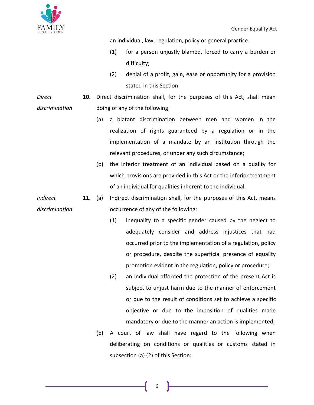

an individual, law, regulation, policy or general practice:

- (1) for a person unjustly blamed, forced to carry a burden or difficulty;
- (2) denial of a profit, gain, ease or opportunity for a provision stated in this Section.

*Direct discrimination* **10.** Direct discrimination shall, for the purposes of this Act, shall mean doing of any of the following:

- (a) a blatant discrimination between men and women in the realization of rights guaranteed by a regulation or in the implementation of a mandate by an institution through the relevant procedures, or under any such circumstance;
- (b) the inferior treatment of an individual based on a quality for which provisions are provided in this Act or the inferior treatment of an individual for qualities inherent to the individual.

**11.** (a) Indirect discrimination shall, for the purposes of this Act, means occurrence of any of the following:

- (1) inequality to a specific gender caused by the neglect to adequately consider and address injustices that had occurred prior to the implementation of a regulation, policy or procedure, despite the superficial presence of equality promotion evident in the regulation, policy or procedure;
- (2) an individual afforded the protection of the present Act is subject to unjust harm due to the manner of enforcement or due to the result of conditions set to achieve a specific objective or due to the imposition of qualities made mandatory or due to the manner an action is implemented;
- (b) A court of law shall have regard to the following when deliberating on conditions or qualities or customs stated in subsection (a) (2) of this Section:

*discrimination*

*Indirect*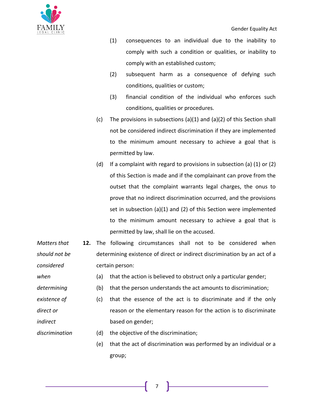

*when* 

*determining* 

*discrimination*

- (1) consequences to an individual due to the inability to comply with such a condition or qualities, or inability to comply with an established custom;
- (2) subsequent harm as a consequence of defying such conditions, qualities or custom;
- (3) financial condition of the individual who enforces such conditions, qualities or procedures.
- (c) The provisions in subsections (a)(1) and (a)(2) of this Section shall not be considered indirect discrimination if they are implemented to the minimum amount necessary to achieve a goal that is permitted by law.
- (d) If a complaint with regard to provisions in subsection (a)  $(1)$  or  $(2)$ of this Section is made and if the complainant can prove from the outset that the complaint warrants legal charges, the onus to prove that no indirect discrimination occurred, and the provisions set in subsection (a)(1) and (2) of this Section were implemented to the minimum amount necessary to achieve a goal that is permitted by law, shall lie on the accused.
- *Matters that should not be considered*  **12.** The following circumstances shall not to be considered when determining existence of direct or indirect discrimination by an act of a certain person:
	- (a) that the action is believed to obstruct only a particular gender;
	- (b) that the person understands the act amounts to discrimination;
- *existence of direct or indirect*  (c) that the essence of the act is to discriminate and if the only reason or the elementary reason for the action is to discriminate based on gender;
	- (d) the objective of the discrimination;
		- (e) that the act of discrimination was performed by an individual or a group;

7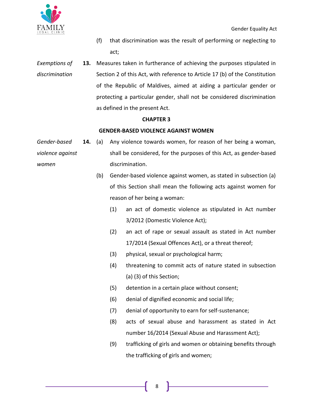

- (f) that discrimination was the result of performing or neglecting to act;
- *Exemptions of discrimination* **13.** Measures taken in furtherance of achieving the purposes stipulated in Section 2 of this Act, with reference to Article 17 (b) of the Constitution of the Republic of Maldives, aimed at aiding a particular gender or protecting a particular gender, shall not be considered discrimination as defined in the present Act.

# **CHAPTER 3**

# **GENDER-BASED VIOLENCE AGAINST WOMEN**

- *Gender-based violence against women* **14.** (a) Any violence towards women, for reason of her being a woman, shall be considered, for the purposes of this Act, as gender-based discrimination.
	- (b) Gender-based violence against women, as stated in subsection (a) of this Section shall mean the following acts against women for reason of her being a woman:
		- (1) an act of domestic violence as stipulated in Act number 3/2012 (Domestic Violence Act);
		- (2) an act of rape or sexual assault as stated in Act number 17/2014 (Sexual Offences Act), or a threat thereof;
		- (3) physical, sexual or psychological harm;
		- (4) threatening to commit acts of nature stated in subsection (a) (3) of this Section;
		- (5) detention in a certain place without consent;
		- (6) denial of dignified economic and social life;
		- (7) denial of opportunity to earn for self-sustenance;
		- (8) acts of sexual abuse and harassment as stated in Act number 16/2014 (Sexual Abuse and Harassment Act);
		- (9) trafficking of girls and women or obtaining benefits through the trafficking of girls and women;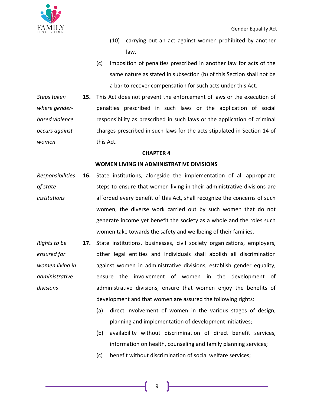

- (10) carrying out an act against women prohibited by another law.
- (c) Imposition of penalties prescribed in another law for acts of the same nature as stated in subsection (b) of this Section shall not be a bar to recover compensation for such acts under this Act.

*Steps taken where genderbased violence occurs against women* **15.** This Act does not prevent the enforcement of laws or the execution of penalties prescribed in such laws or the application of social responsibility as prescribed in such laws or the application of criminal charges prescribed in such laws for the acts stipulated in Section 14 of this Act.

#### **CHAPTER 4**

# **WOMEN LIVING IN ADMINISTRATIVE DIVISIONS**

- *Responsibilities of state institutions* **16.** State institutions, alongside the implementation of all appropriate steps to ensure that women living in their administrative divisions are afforded every benefit of this Act, shall recognize the concerns of such women, the diverse work carried out by such women that do not generate income yet benefit the society as a whole and the roles such women take towards the safety and wellbeing of their families.
- *Rights to be ensured for women living in administrative divisions* **17.** State institutions, businesses, civil society organizations, employers, other legal entities and individuals shall abolish all discrimination against women in administrative divisions, establish gender equality, ensure the involvement of women in the development of administrative divisions, ensure that women enjoy the benefits of development and that women are assured the following rights:
	- (a) direct involvement of women in the various stages of design, planning and implementation of development initiatives;
	- (b) availability without discrimination of direct benefit services, information on health, counseling and family planning services;
	- (c) benefit without discrimination of social welfare services;

9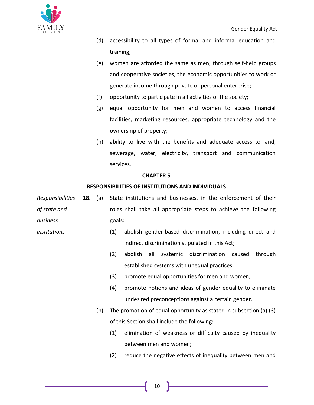- (d) accessibility to all types of formal and informal education and training;
- (e) women are afforded the same as men, through self-help groups and cooperative societies, the economic opportunities to work or generate income through private or personal enterprise;
- (f) opportunity to participate in all activities of the society;
- (g) equal opportunity for men and women to access financial facilities, marketing resources, appropriate technology and the ownership of property;
- (h) ability to live with the benefits and adequate access to land, sewerage, water, electricity, transport and communication services.

## **CHAPTER 5**

# **RESPONSIBILITIES OF INSTITUTIONS AND INDIVIDUALS**

- *Responsibilities of state and business*  **18.** (a) State institutions and businesses, in the enforcement of their roles shall take all appropriate steps to achieve the following goals:
- *institutions* (1) abolish gender-based discrimination, including direct and indirect discrimination stipulated in this Act;
	- (2) abolish all systemic discrimination caused through established systems with unequal practices;
	- (3) promote equal opportunities for men and women;
	- (4) promote notions and ideas of gender equality to eliminate undesired preconceptions against a certain gender.
	- (b) The promotion of equal opportunity as stated in subsection (a) (3) of this Section shall include the following:
		- (1) elimination of weakness or difficulty caused by inequality between men and women;
		- (2) reduce the negative effects of inequality between men and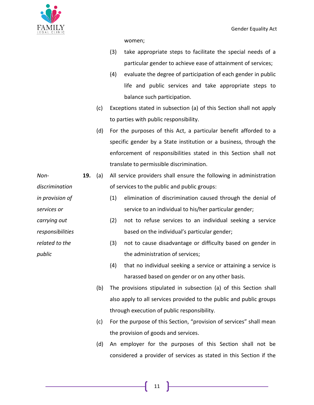

women;

- (3) take appropriate steps to facilitate the special needs of a particular gender to achieve ease of attainment of services;
- (4) evaluate the degree of participation of each gender in public life and public services and take appropriate steps to balance such participation.
- (c) Exceptions stated in subsection (a) of this Section shall not apply to parties with public responsibility.
- (d) For the purposes of this Act, a particular benefit afforded to a specific gender by a State institution or a business, through the enforcement of responsibilities stated in this Section shall not translate to permissible discrimination.
- **19.** (a) All service providers shall ensure the following in administration of services to the public and public groups:
	- (1) elimination of discrimination caused through the denial of service to an individual to his/her particular gender;
		- (2) not to refuse services to an individual seeking a service based on the individual's particular gender;
		- (3) not to cause disadvantage or difficulty based on gender in the administration of services;
		- (4) that no individual seeking a service or attaining a service is harassed based on gender or on any other basis.
		- (b) The provisions stipulated in subsection (a) of this Section shall also apply to all services provided to the public and public groups through execution of public responsibility.
		- (c) For the purpose of this Section, "provision of services" shall mean the provision of goods and services.
		- (d) An employer for the purposes of this Section shall not be considered a provider of services as stated in this Section if the

*discrimination in provision of* 

*Non-*

*services or* 

*carrying out* 

*responsibilities* 

*related to the* 

*public* 

11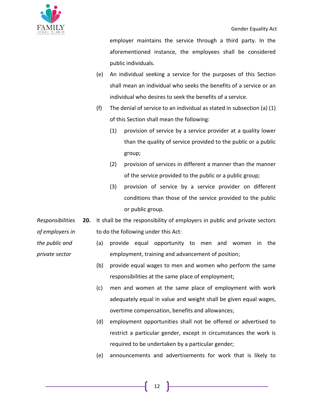

employer maintains the service through a third party. In the aforementioned instance, the employees shall be considered public individuals.

- (e) An individual seeking a service for the purposes of this Section shall mean an individual who seeks the benefits of a service or an individual who desires to seek the benefits of a service.
- (f) The denial of service to an individual as stated in subsection (a)  $(1)$ of this Section shall mean the following:
	- (1) provision of service by a service provider at a quality lower than the quality of service provided to the public or a public group;
	- (2) provision of services in different a manner than the manner of the service provided to the public or a public group;
	- (3) provision of service by a service provider on different conditions than those of the service provided to the public or public group.
- *Responsibilities of employers in*  **20.** It shall be the responsibility of employers in public and private sectors to do the following under this Act:
	- (a) provide equal opportunity to men and women in the employment, training and advancement of position;
		- (b) provide equal wages to men and women who perform the same responsibilities at the same place of employment;
		- (c) men and women at the same place of employment with work adequately equal in value and weight shall be given equal wages, overtime compensation, benefits and allowances;
		- (d) employment opportunities shall not be offered or advertised to restrict a particular gender, except in circumstances the work is required to be undertaken by a particular gender;
		- (e) announcements and advertisements for work that is likely to

*the public and private sector*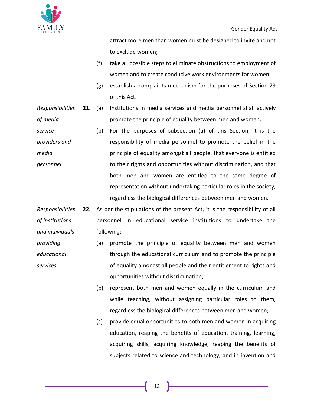

attract more men than women must be designed to invite and not to exclude women;

- (f) take all possible steps to eliminate obstructions to employment of women and to create conducive work environments for women;
- (g) establish a complaints mechanism for the purposes of Section 29 of this Act.
- *Responsibilities of media*  **21.** (a) Institutions in media services and media personnel shall actively promote the principle of equality between men and women.
- *service providers and media personnel* (b) For the purposes of subsection (a) of this Section, it is the responsibility of media personnel to promote the belief in the principle of equality amongst all people, that everyone is entitled to their rights and opportunities without discrimination, and that both men and women are entitled to the same degree of representation without undertaking particular roles in the society, regardless the biological differences between men and women.
- *Responsibilities of institutions and individuals*  **22.** As per the stipulations of the present Act, it is the responsibility of all personnel in educational service institutions to undertake the following:
- *providing educational services* (a) promote the principle of equality between men and women through the educational curriculum and to promote the principle of equality amongst all people and their entitlement to rights and opportunities without discrimination;
	- (b) represent both men and women equally in the curriculum and while teaching, without assigning particular roles to them, regardless the biological differences between men and women;
	- (c) provide equal opportunities to both men and women in acquiring education, reaping the benefits of education, training, learning, acquiring skills, acquiring knowledge, reaping the benefits of subjects related to science and technology, and in invention and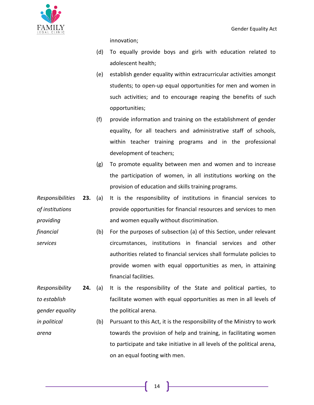

innovation;

- (d) To equally provide boys and girls with education related to adolescent health;
- (e) establish gender equality within extracurricular activities amongst students; to open-up equal opportunities for men and women in such activities; and to encourage reaping the benefits of such opportunities;
- (f) provide information and training on the establishment of gender equality, for all teachers and administrative staff of schools, within teacher training programs and in the professional development of teachers;
- (g) To promote equality between men and women and to increase the participation of women, in all institutions working on the provision of education and skills training programs.
- *Responsibilities of institutions providing*  **23.** (a) It is the responsibility of institutions in financial services to provide opportunities for financial resources and services to men and women equally without discrimination.
- *financial services* (b) For the purposes of subsection (a) of this Section, under relevant circumstances, institutions in financial services and other authorities related to financial services shall formulate policies to provide women with equal opportunities as men, in attaining financial facilities.
- *Responsibility to establish gender equality*  **24.** (a) It is the responsibility of the State and political parties, to facilitate women with equal opportunities as men in all levels of the political arena.
- *in political arena* (b) Pursuant to this Act, it is the responsibility of the Ministry to work towards the provision of help and training, in facilitating women to participate and take initiative in all levels of the political arena, on an equal footing with men.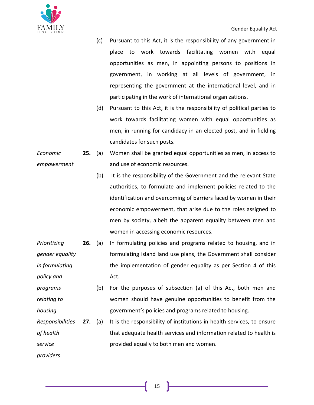

- (c) Pursuant to this Act, it is the responsibility of any government in place to work towards facilitating women with equal opportunities as men, in appointing persons to positions in government, in working at all levels of government, in representing the government at the international level, and in participating in the work of international organizations.
- (d) Pursuant to this Act, it is the responsibility of political parties to work towards facilitating women with equal opportunities as men, in running for candidacy in an elected post, and in fielding candidates for such posts.

*Economic empowerment*  **25.** (a) Women shall be granted equal opportunities as men, in access to and use of economic resources.

- (b) It is the responsibility of the Government and the relevant State authorities, to formulate and implement policies related to the identification and overcoming of barriers faced by women in their economic empowerment, that arise due to the roles assigned to men by society, albeit the apparent equality between men and women in accessing economic resources.
- *Prioritizing gender equality in formulating policy and*  **26.** (a) In formulating policies and programs related to housing, and in formulating island land use plans, the Government shall consider the implementation of gender equality as per Section 4 of this Act.
- *programs relating to housing* (b) For the purposes of subsection (a) of this Act, both men and women should have genuine opportunities to benefit from the government's policies and programs related to housing.
- *Responsibilities of health service*  **27.** (a) It is the responsibility of institutions in health services, to ensure that adequate health services and information related to health is provided equally to both men and women.
- *providers*

15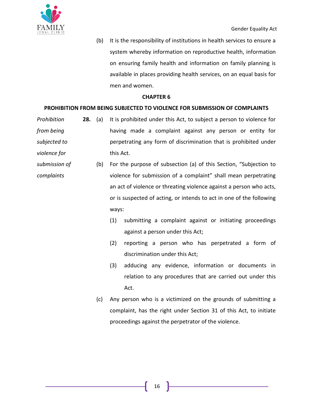

(b) It is the responsibility of institutions in health services to ensure a system whereby information on reproductive health, information on ensuring family health and information on family planning is available in places providing health services, on an equal basis for men and women.

# **CHAPTER 6**

# **PROHIBITION FROM BEING SUBJECTED TO VIOLENCE FOR SUBMISSION OF COMPLAINTS**

- *Prohibition from being subjected to violence for*  **28.** (a) It is prohibited under this Act, to subject a person to violence for having made a complaint against any person or entity for perpetrating any form of discrimination that is prohibited under this Act.
- *submission of complaints* (b) For the purpose of subsection (a) of this Section, "Subjection to violence for submission of a complaint" shall mean perpetrating an act of violence or threating violence against a person who acts, or is suspected of acting, or intends to act in one of the following ways:
	- (1) submitting a complaint against or initiating proceedings against a person under this Act;
	- (2) reporting a person who has perpetrated a form of discrimination under this Act;
	- (3) adducing any evidence, information or documents in relation to any procedures that are carried out under this Act.
	- (c) Any person who is a victimized on the grounds of submitting a complaint, has the right under Section 31 of this Act, to initiate proceedings against the perpetrator of the violence.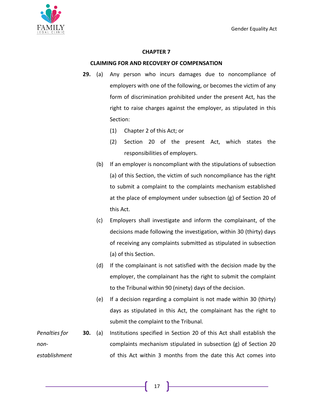Gender Equality Act



# **CHAPTER 7**

## **CLAIMING FOR AND RECOVERY OF COMPENSATION**

- **29.** (a) Any person who incurs damages due to noncompliance of employers with one of the following, or becomes the victim of any form of discrimination prohibited under the present Act, has the right to raise charges against the employer, as stipulated in this Section:
	- (1) Chapter 2 of this Act; or
	- (2) Section 20 of the present Act, which states the responsibilities of employers.
	- (b) If an employer is noncompliant with the stipulations of subsection (a) of this Section, the victim of such noncompliance has the right to submit a complaint to the complaints mechanism established at the place of employment under subsection (g) of Section 20 of this Act.
	- (c) Employers shall investigate and inform the complainant, of the decisions made following the investigation, within 30 (thirty) days of receiving any complaints submitted as stipulated in subsection (a) of this Section.
	- (d) If the complainant is not satisfied with the decision made by the employer, the complainant has the right to submit the complaint to the Tribunal within 90 (ninety) days of the decision.
	- (e) If a decision regarding a complaint is not made within 30 (thirty) days as stipulated in this Act, the complainant has the right to submit the complaint to the Tribunal.
- *Penalties for nonestablishment*  **30.** (a) Institutions specified in Section 20 of this Act shall establish the complaints mechanism stipulated in subsection (g) of Section 20 of this Act within 3 months from the date this Act comes into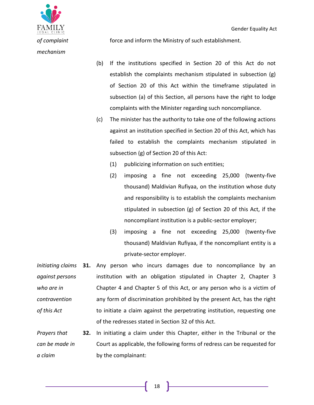Gender Equality Act



force and inform the Ministry of such establishment.

- (b) If the institutions specified in Section 20 of this Act do not establish the complaints mechanism stipulated in subsection (g) of Section 20 of this Act within the timeframe stipulated in subsection (a) of this Section, all persons have the right to lodge complaints with the Minister regarding such noncompliance.
- (c) The minister has the authority to take one of the following actions against an institution specified in Section 20 of this Act, which has failed to establish the complaints mechanism stipulated in subsection (g) of Section 20 of this Act:
	- (1) publicizing information on such entities;
	- (2) imposing a fine not exceeding 25,000 (twenty-five thousand) Maldivian Rufiyaa, on the institution whose duty and responsibility is to establish the complaints mechanism stipulated in subsection (g) of Section 20 of this Act, if the noncompliant institution is a public-sector employer;
	- (3) imposing a fine not exceeding 25,000 (twenty-five thousand) Maldivian Rufiyaa, if the noncompliant entity is a private-sector employer.
- *Initiating claims*  **31.** Any person who incurs damages due to noncompliance by an *against persons who are in contravention of this Act* institution with an obligation stipulated in Chapter 2, Chapter 3 Chapter 4 and Chapter 5 of this Act, or any person who is a victim of any form of discrimination prohibited by the present Act, has the right to initiate a claim against the perpetrating institution, requesting one of the redresses stated in Section 32 of this Act.
- *Prayers that can be made in a claim* **32.** In initiating a claim under this Chapter, either in the Tribunal or the Court as applicable, the following forms of redress can be requested for by the complainant: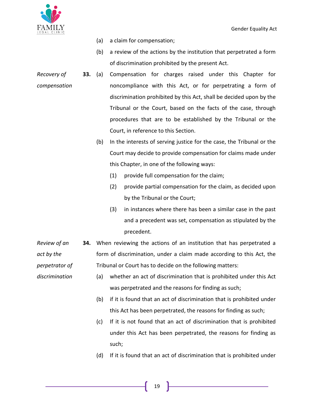

*discrimination*

- (a) a claim for compensation;
- (b) a review of the actions by the institution that perpetrated a form of discrimination prohibited by the present Act.
- *Recovery of compensation* **33.** (a) Compensation for charges raised under this Chapter for noncompliance with this Act, or for perpetrating a form of discrimination prohibited by this Act, shall be decided upon by the Tribunal or the Court, based on the facts of the case, through procedures that are to be established by the Tribunal or the Court, in reference to this Section.
	- (b) In the interests of serving justice for the case, the Tribunal or the Court may decide to provide compensation for claims made under this Chapter, in one of the following ways:
		- (1) provide full compensation for the claim;
		- (2) provide partial compensation for the claim, as decided upon by the Tribunal or the Court;
		- (3) in instances where there has been a similar case in the past and a precedent was set, compensation as stipulated by the precedent.
- *Review of an act by the perpetrator of*  **34.** When reviewing the actions of an institution that has perpetrated a form of discrimination, under a claim made according to this Act, the Tribunal or Court has to decide on the following matters:
	- (a) whether an act of discrimination that is prohibited under this Act was perpetrated and the reasons for finding as such;
	- (b) if it is found that an act of discrimination that is prohibited under this Act has been perpetrated, the reasons for finding as such;
	- (c) If it is not found that an act of discrimination that is prohibited under this Act has been perpetrated, the reasons for finding as such;
	- (d) If it is found that an act of discrimination that is prohibited under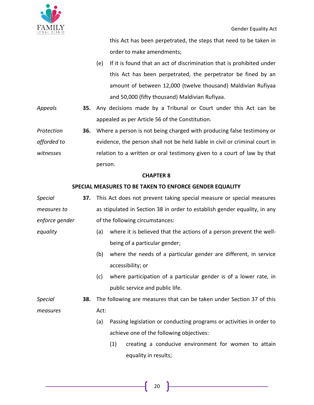

this Act has been perpetrated, the steps that need to be taken in order to make amendments;

- (e) If it is found that an act of discrimination that is prohibited under this Act has been perpetrated, the perpetrator be fined by an amount of between 12,000 (twelve thousand) Maldivian Rufiyaa and 50,000 (fifty thousand) Maldivian Rufiyaa.
- *Appeals* **35.** Any decisions made by a Tribunal or Court under this Act can be appealed as per Article 56 of the Constitution.

*Protection afforded to witnesses* **36.** Where a person is not being charged with producing false testimony or evidence, the person shall not be held liable in civil or criminal court in relation to a written or oral testimony given to a court of law by that person.

# **CHAPTER 8**

# **SPECIAL MEASURES TO BE TAKEN TO ENFORCE GENDER EQUALITY**

*Special measures to enforce gender equality* **37.** This Act does not prevent taking special measure or special measures as stipulated in Section 38 in order to establish gender equality, in any of the following circumstances: (a) where it is believed that the actions of a person prevent the wellbeing of a particular gender; (b) where the needs of a particular gender are different, in service accessibility; or (c) where participation of a particular gender is of a lower rate, in public service and public life. *Special measures* **38.** The following are measures that can be taken under Section 37 of this Act: (a) Passing legislation or conducting programs or activities in order to achieve one of the following objectives: (1) creating a conducive environment for women to attain equality in results;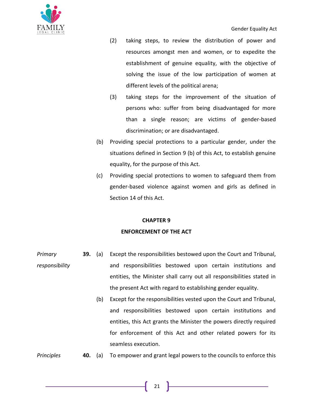

- (2) taking steps, to review the distribution of power and resources amongst men and women, or to expedite the establishment of genuine equality, with the objective of solving the issue of the low participation of women at different levels of the political arena;
- (3) taking steps for the improvement of the situation of persons who: suffer from being disadvantaged for more than a single reason; are victims of gender-based discrimination; or are disadvantaged.
- (b) Providing special protections to a particular gender, under the situations defined in Section 9 (b) of this Act, to establish genuine equality, for the purpose of this Act.
- (c) Providing special protections to women to safeguard them from gender-based violence against women and girls as defined in Section 14 of this Act.

## **CHAPTER 9**

## **ENFORCEMENT OF THE ACT**

*Primary responsibility* **39.** (a) Except the responsibilities bestowed upon the Court and Tribunal, and responsibilities bestowed upon certain institutions and entities, the Minister shall carry out all responsibilities stated in the present Act with regard to establishing gender equality. (b) Except for the responsibilities vested upon the Court and Tribunal, and responsibilities bestowed upon certain institutions and entities, this Act grants the Minister the powers directly required

*Principles* **40.** (a) To empower and grant legal powers to the councils to enforce this

for enforcement of this Act and other related powers for its

seamless execution.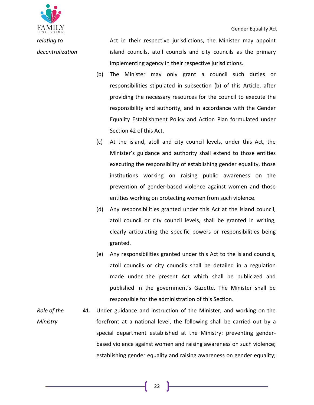

Act in their respective jurisdictions, the Minister may appoint island councils, atoll councils and city councils as the primary implementing agency in their respective jurisdictions.

- (b) The Minister may only grant a council such duties or responsibilities stipulated in subsection (b) of this Article, after providing the necessary resources for the council to execute the responsibility and authority, and in accordance with the Gender Equality Establishment Policy and Action Plan formulated under Section 42 of this Act.
- (c) At the island, atoll and city council levels, under this Act, the Minister's guidance and authority shall extend to those entities executing the responsibility of establishing gender equality, those institutions working on raising public awareness on the prevention of gender-based violence against women and those entities working on protecting women from such violence.
- (d) Any responsibilities granted under this Act at the island council, atoll council or city council levels, shall be granted in writing, clearly articulating the specific powers or responsibilities being granted.
- (e) Any responsibilities granted under this Act to the island councils, atoll councils or city councils shall be detailed in a regulation made under the present Act which shall be publicized and published in the government's Gazette. The Minister shall be responsible for the administration of this Section.
- *Role of the Ministry* **41.** Under guidance and instruction of the Minister, and working on the forefront at a national level, the following shall be carried out by a special department established at the Ministry: preventing genderbased violence against women and raising awareness on such violence; establishing gender equality and raising awareness on gender equality;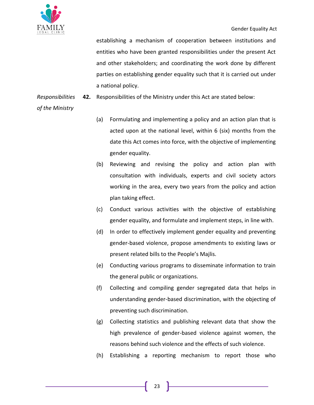

# Gender Equality Act

establishing a mechanism of cooperation between institutions and entities who have been granted responsibilities under the present Act and other stakeholders; and coordinating the work done by different parties on establishing gender equality such that it is carried out under a national policy.

*Responsibilities*  **42.** Responsibilities of the Ministry under this Act are stated below:

*of the Ministry*

- (a) Formulating and implementing a policy and an action plan that is acted upon at the national level, within 6 (six) months from the date this Act comes into force, with the objective of implementing gender equality.
- (b) Reviewing and revising the policy and action plan with consultation with individuals, experts and civil society actors working in the area, every two years from the policy and action plan taking effect.
- (c) Conduct various activities with the objective of establishing gender equality, and formulate and implement steps, in line with.
- (d) In order to effectively implement gender equality and preventing gender-based violence, propose amendments to existing laws or present related bills to the People's Majlis.
- (e) Conducting various programs to disseminate information to train the general public or organizations.
- (f) Collecting and compiling gender segregated data that helps in understanding gender-based discrimination, with the objecting of preventing such discrimination.
- (g) Collecting statistics and publishing relevant data that show the high prevalence of gender-based violence against women, the reasons behind such violence and the effects of such violence.
- (h) Establishing a reporting mechanism to report those who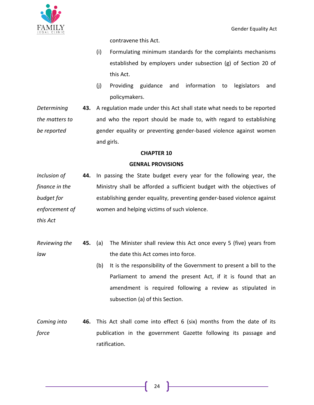

contravene this Act.

- (i) Formulating minimum standards for the complaints mechanisms established by employers under subsection (g) of Section 20 of this Act.
- (j) Providing guidance and information to legislators and policymakers.
- *Determining the matters to be reported* **43.** A regulation made under this Act shall state what needs to be reported and who the report should be made to, with regard to establishing gender equality or preventing gender-based violence against women and girls.

## **CHAPTER 10**

#### **GENRAL PROVISIONS**

*Inclusion of finance in the budget for enforcement of*  **44.** In passing the State budget every year for the following year, the Ministry shall be afforded a sufficient budget with the objectives of establishing gender equality, preventing gender-based violence against women and helping victims of such violence.

*this Act*

- *Reviewing the law* **45.** (a) The Minister shall review this Act once every 5 (five) years from the date this Act comes into force.
	- (b) It is the responsibility of the Government to present a bill to the Parliament to amend the present Act, if it is found that an amendment is required following a review as stipulated in subsection (a) of this Section.
- *Coming into force* **46.** This Act shall come into effect 6 (six) months from the date of its publication in the government Gazette following its passage and ratification.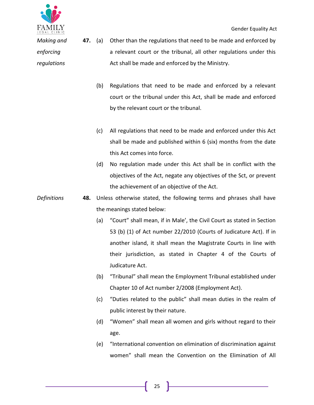

*enforcing* 

*regulations*

- **47.** (a) Other than the regulations that need to be made and enforced by a relevant court or the tribunal, all other regulations under this Act shall be made and enforced by the Ministry.
	- (b) Regulations that need to be made and enforced by a relevant court or the tribunal under this Act, shall be made and enforced by the relevant court or the tribunal.
	- (c) All regulations that need to be made and enforced under this Act shall be made and published within 6 (six) months from the date this Act comes into force.
	- (d) No regulation made under this Act shall be in conflict with the objectives of the Act, negate any objectives of the Sct, or prevent the achievement of an objective of the Act.
- *Definitions* **48.** Unless otherwise stated, the following terms and phrases shall have the meanings stated below:
	- (a) "Court" shall mean, if in Male', the Civil Court as stated in Section 53 (b) (1) of Act number 22/2010 (Courts of Judicature Act). If in another island, it shall mean the Magistrate Courts in line with their jurisdiction, as stated in Chapter 4 of the Courts of Judicature Act.
	- (b) "Tribunal" shall mean the Employment Tribunal established under Chapter 10 of Act number 2/2008 (Employment Act).
	- (c) "Duties related to the public" shall mean duties in the realm of public interest by their nature.
	- (d) "Women" shall mean all women and girls without regard to their age.
	- (e) "International convention on elimination of discrimination against women" shall mean the Convention on the Elimination of All